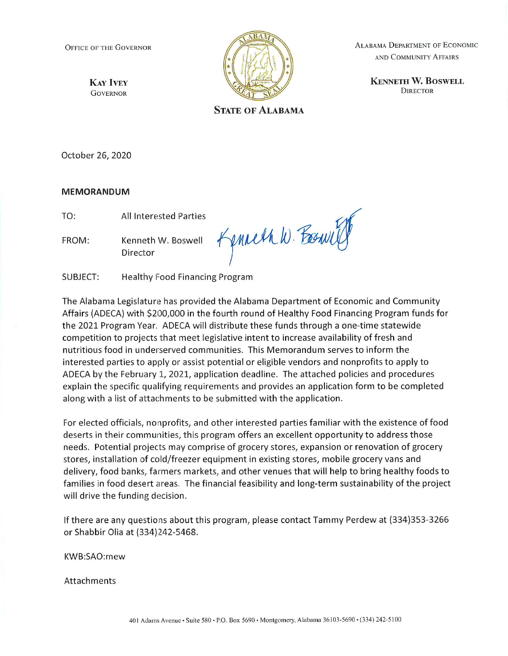**OFFICE OF THE GOVERNOR** 

**KAY IVEY GOVERNOR** 



**ALABAMA DEPARTMENT OF ECONOMIC** AND COMMUNITY AFFAIRS

> **KENNETH W. BOSWELL DIRECTOR**

**STATE OF ALABAMA** 

October 26, 2020

#### **MEMORANDUM**

TO: **All Interested Parties** 

Kenneth W. Boswell FROM: Director

Kenneth W. Foswill

SUBJECT: Healthy Food Financing Program

The Alabama Legislature has provided the Alabama Department of Economic and Community Affairs (ADECA) with \$200,000 in the fourth round of Healthy Food Financing Program funds for the 2021 Program Year. ADECA will distribute these funds through a one-time statewide competition to projects that meet legislative intent to increase availability of fresh and nutritious food in underserved communities. This Memorandum serves to inform the interested parties to apply or assist potential or eligible vendors and nonprofits to apply to ADECA by the February 1, 2021, application deadline. The attached policies and procedures explain the specific qualifying requirements and provides an application form to be completed along with a list of attachments to be submitted with the application.

For elected officials, nonprofits, and other interested parties familiar with the existence of food deserts in their communities, this program offers an excellent opportunity to address those needs. Potential projects may comprise of grocery stores, expansion or renovation of grocery stores, installation of cold/freezer equipment in existing stores, mobile grocery vans and delivery, food banks, farmers markets, and other venues that will help to bring healthy foods to families in food desert areas. The financial feasibility and long-term sustainability of the project will drive the funding decision.

If there are any questions about this program, please contact Tammy Perdew at (334)353-3266 or Shabbir Olia at (334)242-5468.

KWB:SAO:mew

Attachments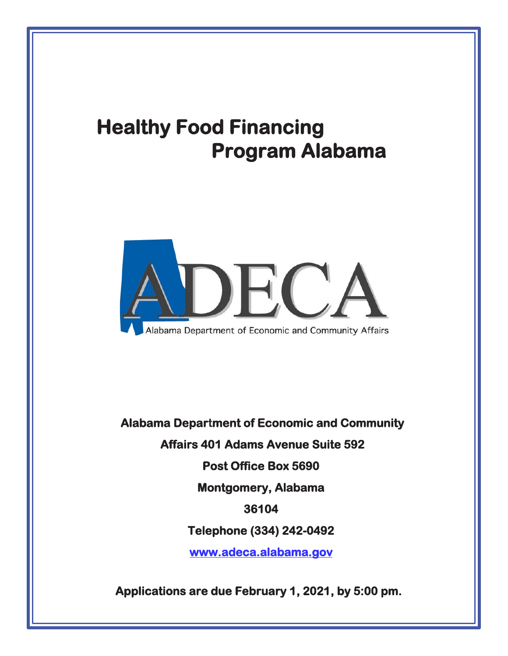# **Healthy Food Financing Program Alabama**



 **Alabama Department of Economic and Community Affairs 401 Adams Avenue Suite 592 Post Office Box 5690 Montgomery, Alabama 36104 Telephone (334) 242-0492 [www.adeca.alabama.gov](http://www.adeca.alabama.gov/)**

**Applications are due February 1, 2021, by 5:00 pm.**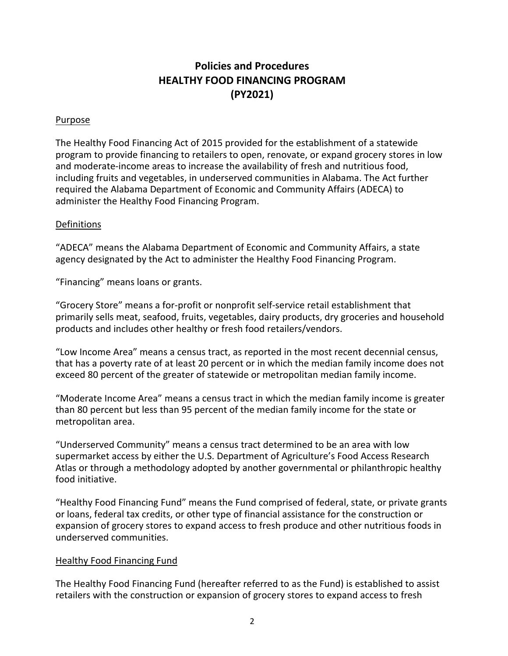### **Policies and Procedures HEALTHY FOOD FINANCING PROGRAM (PY2021)**

#### Purpose

The Healthy Food Financing Act of 2015 provided for the establishment of a statewide program to provide financing to retailers to open, renovate, or expand grocery stores in low and moderate-income areas to increase the availability of fresh and nutritious food, including fruits and vegetables, in underserved communities in Alabama. The Act further required the Alabama Department of Economic and Community Affairs (ADECA) to administer the Healthy Food Financing Program.

#### Definitions

"ADECA" means the Alabama Department of Economic and Community Affairs, a state agency designated by the Act to administer the Healthy Food Financing Program.

"Financing" means loans or grants.

"Grocery Store" means a for-profit or nonprofit self-service retail establishment that primarily sells meat, seafood, fruits, vegetables, dairy products, dry groceries and household products and includes other healthy or fresh food retailers/vendors.

"Low Income Area" means a census tract, as reported in the most recent decennial census, that has a poverty rate of at least 20 percent or in which the median family income does not exceed 80 percent of the greater of statewide or metropolitan median family income.

"Moderate Income Area" means a census tract in which the median family income is greater than 80 percent but less than 95 percent of the median family income for the state or metropolitan area.

"Underserved Community" means a census tract determined to be an area with low supermarket access by either the U.S. Department of Agriculture's Food Access Research Atlas or through a methodology adopted by another governmental or philanthropic healthy food initiative.

"Healthy Food Financing Fund" means the Fund comprised of federal, state, or private grants or loans, federal tax credits, or other type of financial assistance for the construction or expansion of grocery stores to expand access to fresh produce and other nutritious foods in underserved communities.

#### Healthy Food Financing Fund

The Healthy Food Financing Fund (hereafter referred to as the Fund) is established to assist retailers with the construction or expansion of grocery stores to expand access to fresh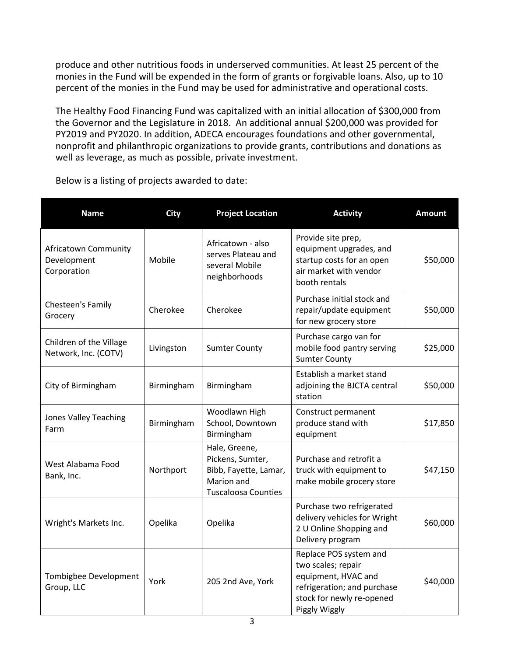produce and other nutritious foods in underserved communities. At least 25 percent of the monies in the Fund will be expended in the form of grants or forgivable loans. Also, up to 10 percent of the monies in the Fund may be used for administrative and operational costs.

The Healthy Food Financing Fund was capitalized with an initial allocation of \$300,000 from the Governor and the Legislature in 2018. An additional annual \$200,000 was provided for PY2019 and PY2020. In addition, ADECA encourages foundations and other governmental, nonprofit and philanthropic organizations to provide grants, contributions and donations as well as leverage, as much as possible, private investment.

| <b>Name</b>                                               | <b>City</b> | <b>Project Location</b>                                                                                | <b>Activity</b>                                                                                                                                  | <b>Amount</b> |
|-----------------------------------------------------------|-------------|--------------------------------------------------------------------------------------------------------|--------------------------------------------------------------------------------------------------------------------------------------------------|---------------|
| <b>Africatown Community</b><br>Development<br>Corporation | Mobile      | Africatown - also<br>serves Plateau and<br>several Mobile<br>neighborhoods                             | Provide site prep,<br>equipment upgrades, and<br>startup costs for an open<br>air market with vendor<br>booth rentals                            | \$50,000      |
| Chesteen's Family<br>Grocery                              | Cherokee    | Cherokee                                                                                               | Purchase initial stock and<br>repair/update equipment<br>for new grocery store                                                                   | \$50,000      |
| Children of the Village<br>Network, Inc. (COTV)           | Livingston  | <b>Sumter County</b>                                                                                   | Purchase cargo van for<br>mobile food pantry serving<br><b>Sumter County</b>                                                                     | \$25,000      |
| City of Birmingham                                        | Birmingham  | Birmingham                                                                                             | Establish a market stand<br>adjoining the BJCTA central<br>station                                                                               | \$50,000      |
| <b>Jones Valley Teaching</b><br>Farm                      | Birmingham  | Woodlawn High<br>School, Downtown<br>Birmingham                                                        | Construct permanent<br>produce stand with<br>equipment                                                                                           | \$17,850      |
| West Alabama Food<br>Bank, Inc.                           | Northport   | Hale, Greene,<br>Pickens, Sumter,<br>Bibb, Fayette, Lamar,<br>Marion and<br><b>Tuscaloosa Counties</b> | Purchase and retrofit a<br>truck with equipment to<br>make mobile grocery store                                                                  | \$47,150      |
| Wright's Markets Inc.                                     | Opelika     | Opelika                                                                                                | Purchase two refrigerated<br>delivery vehicles for Wright<br>2 U Online Shopping and<br>Delivery program                                         | \$60,000      |
| Tombigbee Development<br>Group, LLC                       | York        | 205 2nd Ave, York                                                                                      | Replace POS system and<br>two scales; repair<br>equipment, HVAC and<br>refrigeration; and purchase<br>stock for newly re-opened<br>Piggly Wiggly | \$40,000      |

Below is a listing of projects awarded to date: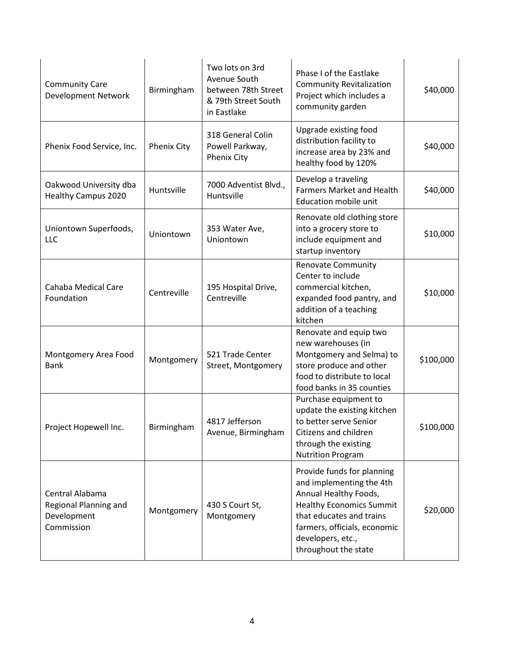| <b>Community Care</b><br><b>Development Network</b>                   | Birmingham         | Two lots on 3rd<br>Avenue South<br>between 78th Street<br>& 79th Street South<br>in Eastlake | Phase I of the Eastlake<br><b>Community Revitalization</b><br>Project which includes a<br>community garden                                                                                                                  | \$40,000  |
|-----------------------------------------------------------------------|--------------------|----------------------------------------------------------------------------------------------|-----------------------------------------------------------------------------------------------------------------------------------------------------------------------------------------------------------------------------|-----------|
| Phenix Food Service, Inc.                                             | <b>Phenix City</b> | 318 General Colin<br>Powell Parkway,<br><b>Phenix City</b>                                   | Upgrade existing food<br>distribution facility to<br>increase area by 23% and<br>healthy food by 120%                                                                                                                       | \$40,000  |
| Oakwood University dba<br><b>Healthy Campus 2020</b>                  | Huntsville         | 7000 Adventist Blvd.,<br>Huntsville                                                          | Develop a traveling<br><b>Farmers Market and Health</b><br><b>Education mobile unit</b>                                                                                                                                     | \$40,000  |
| Uniontown Superfoods,<br>LLC                                          | Uniontown          | 353 Water Ave,<br>Uniontown                                                                  | Renovate old clothing store<br>into a grocery store to<br>include equipment and<br>startup inventory                                                                                                                        | \$10,000  |
| Cahaba Medical Care<br>Foundation                                     | Centreville        | 195 Hospital Drive,<br>Centreville                                                           | <b>Renovate Community</b><br>Center to include<br>commercial kitchen,<br>expanded food pantry, and<br>addition of a teaching<br>kitchen                                                                                     | \$10,000  |
| Montgomery Area Food<br><b>Bank</b>                                   | Montgomery         | 521 Trade Center<br>Street, Montgomery                                                       | Renovate and equip two<br>new warehouses (in<br>Montgomery and Selma) to<br>store produce and other<br>food to distribute to local<br>food banks in 35 counties                                                             | \$100,000 |
| Project Hopewell Inc.                                                 | Birmingham         | 4817 Jefferson<br>Avenue, Birmingham                                                         | Purchase equipment to<br>update the existing kitchen<br>to better serve Senior<br>Citizens and children<br>through the existing<br><b>Nutrition Program</b>                                                                 | \$100,000 |
| Central Alabama<br>Regional Planning and<br>Development<br>Commission | Montgomery         | 430 S Court St,<br>Montgomery                                                                | Provide funds for planning<br>and implementing the 4th<br>Annual Healthy Foods,<br><b>Healthy Economics Summit</b><br>that educates and trains<br>farmers, officials, economic<br>developers, etc.,<br>throughout the state | \$20,000  |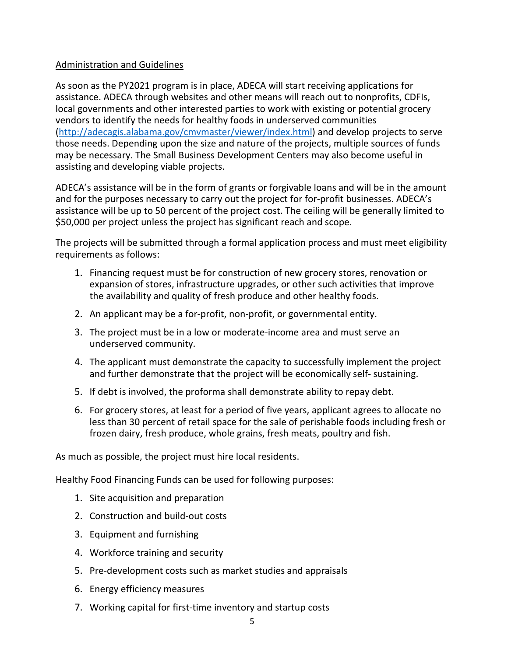#### Administration and Guidelines

As soon as the PY2021 program is in place, ADECA will start receiving applications for assistance. ADECA through websites and other means will reach out to nonprofits, CDFIs, local governments and other interested parties to work with existing or potential grocery vendors to identify the needs for healthy foods in underserved communities [\(http://adecagis.alabama.gov/cmvmaster/viewer/index.html\)](http://adecagis.alabama.gov/cmvmaster/viewer/index.html) and develop projects to serve those needs. Depending upon the size and nature of the projects, multiple sources of funds may be necessary. The Small Business Development Centers may also become useful in assisting and developing viable projects.

ADECA's assistance will be in the form of grants or forgivable loans and will be in the amount and for the purposes necessary to carry out the project for for-profit businesses. ADECA's assistance will be up to 50 percent of the project cost. The ceiling will be generally limited to \$50,000 per project unless the project has significant reach and scope.

The projects will be submitted through a formal application process and must meet eligibility requirements as follows:

- 1. Financing request must be for construction of new grocery stores, renovation or expansion of stores, infrastructure upgrades, or other such activities that improve the availability and quality of fresh produce and other healthy foods.
- 2. An applicant may be a for-profit, non-profit, or governmental entity.
- 3. The project must be in a low or moderate-income area and must serve an underserved community.
- 4. The applicant must demonstrate the capacity to successfully implement the project and further demonstrate that the project will be economically self- sustaining.
- 5. If debt is involved, the proforma shall demonstrate ability to repay debt.
- 6. For grocery stores, at least for a period of five years, applicant agrees to allocate no less than 30 percent of retail space for the sale of perishable foods including fresh or frozen dairy, fresh produce, whole grains, fresh meats, poultry and fish.

As much as possible, the project must hire local residents.

Healthy Food Financing Funds can be used for following purposes:

- 1. Site acquisition and preparation
- 2. Construction and build-out costs
- 3. Equipment and furnishing
- 4. Workforce training and security
- 5. Pre-development costs such as market studies and appraisals
- 6. Energy efficiency measures
- 7. Working capital for first-time inventory and startup costs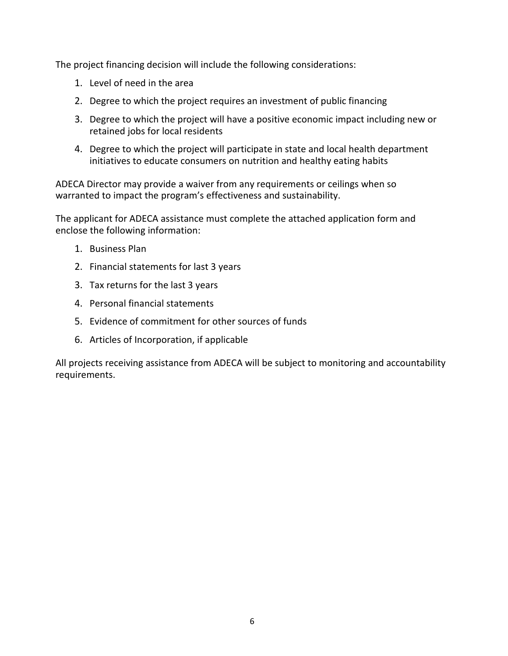The project financing decision will include the following considerations:

- 1. Level of need in the area
- 2. Degree to which the project requires an investment of public financing
- 3. Degree to which the project will have a positive economic impact including new or retained jobs for local residents
- 4. Degree to which the project will participate in state and local health department initiatives to educate consumers on nutrition and healthy eating habits

ADECA Director may provide a waiver from any requirements or ceilings when so warranted to impact the program's effectiveness and sustainability.

The applicant for ADECA assistance must complete the attached application form and enclose the following information:

- 1. Business Plan
- 2. Financial statements for last 3 years
- 3. Tax returns for the last 3 years
- 4. Personal financial statements
- 5. Evidence of commitment for other sources of funds
- 6. Articles of Incorporation, if applicable

All projects receiving assistance from ADECA will be subject to monitoring and accountability requirements.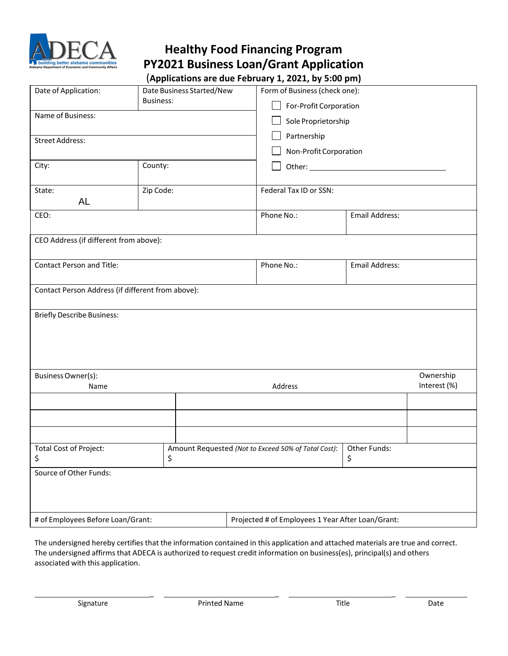

## **Healthy Food Financing Program PY2021 Business Loan/Grant Application**

| Date of Application:                              | Date Business Started/New<br><b>Business:</b> | Form of Business (check one):<br>For-Profit Corporation |                     |  |  |
|---------------------------------------------------|-----------------------------------------------|---------------------------------------------------------|---------------------|--|--|
| Name of Business:                                 |                                               |                                                         | Sole Proprietorship |  |  |
| <b>Street Address:</b>                            |                                               | Partnership                                             |                     |  |  |
|                                                   |                                               | Non-Profit Corporation                                  |                     |  |  |
| City:                                             | County:                                       |                                                         |                     |  |  |
| State:<br>AL                                      | Zip Code:                                     | Federal Tax ID or SSN:                                  |                     |  |  |
| CEO:                                              |                                               | Phone No.:                                              | Email Address:      |  |  |
| CEO Address (if different from above):            |                                               |                                                         |                     |  |  |
| <b>Contact Person and Title:</b>                  |                                               | Phone No.:                                              | Email Address:      |  |  |
| Contact Person Address (if different from above): |                                               |                                                         |                     |  |  |
| <b>Briefly Describe Business:</b>                 |                                               |                                                         |                     |  |  |
| Business Owner(s):                                |                                               |                                                         | Ownership           |  |  |
| Name                                              |                                               | Address                                                 | Interest (%)        |  |  |
|                                                   |                                               |                                                         |                     |  |  |
|                                                   |                                               |                                                         |                     |  |  |
| <b>Total Cost of Project:</b><br>\$               | \$                                            | Amount Requested (Not to Exceed 50% of Total Cost):     | Other Funds:<br>\$  |  |  |
| Source of Other Funds:                            |                                               |                                                         |                     |  |  |
| # of Employees Before Loan/Grant:                 |                                               | Projected # of Employees 1 Year After Loan/Grant:       |                     |  |  |

The undersigned hereby certifies that the information contained in this application and attached materials are true and correct. The undersigned affirms that ADECA is authorized to request credit information on business(es), principal(s) and others associated with this application.

\_ \_ \_